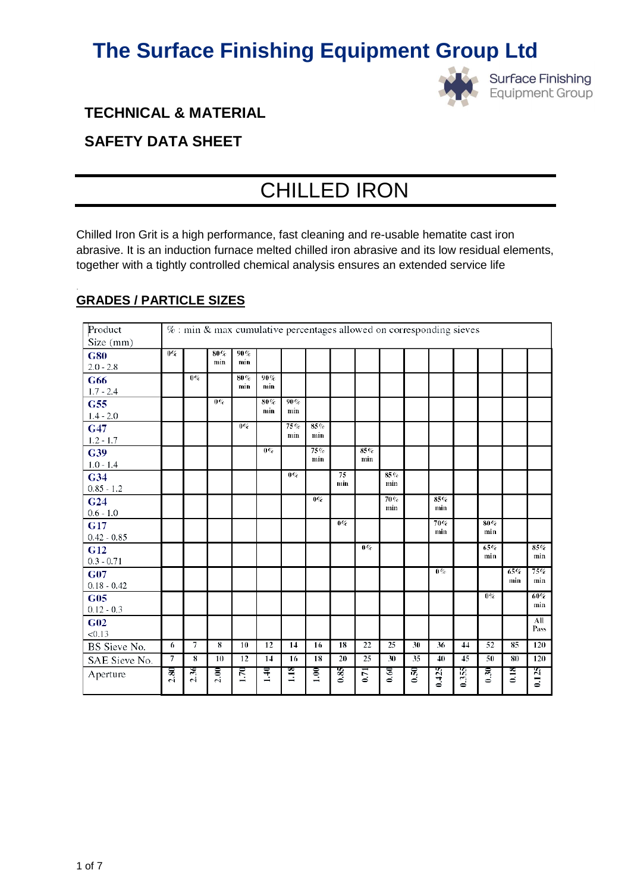

# **TECHNICAL & MATERIAL**

# **SAFETY DATA SHEET**

# CHILLED IRON

Chilled Iron Grit is a high performance, fast cleaning and re-usable hematite cast iron abrasive. It is an induction furnace melted chilled iron abrasive and its low residual elements, together with a tightly controlled chemical analysis ensures an extended service life

| Product                         |      |                | $\%$ : min & max cumulative percentages allowed on corresponding sieves |                 |            |            |            |           |             |            |                 |       |       |        |                |        |
|---------------------------------|------|----------------|-------------------------------------------------------------------------|-----------------|------------|------------|------------|-----------|-------------|------------|-----------------|-------|-------|--------|----------------|--------|
| Size (mm)                       |      |                |                                                                         |                 |            |            |            |           |             |            |                 |       |       |        |                |        |
| <b>G80</b>                      | 0%   |                | 80%                                                                     | 90%             |            |            |            |           |             |            |                 |       |       |        |                |        |
| $2.0 - 2.8$                     |      |                | min                                                                     | min             |            |            |            |           |             |            |                 |       |       |        |                |        |
| G66                             |      | $0\%$          |                                                                         | 80%<br>min      | 90%<br>min |            |            |           |             |            |                 |       |       |        |                |        |
| $1.7 - 2.4$                     |      |                |                                                                         |                 |            |            |            |           |             |            |                 |       |       |        |                |        |
| G55                             |      |                | $0\%$                                                                   |                 | 80%<br>min | 90%<br>min |            |           |             |            |                 |       |       |        |                |        |
| $1.4 - 2.0$                     |      |                |                                                                         |                 |            |            |            |           |             |            |                 |       |       |        |                |        |
| G47                             |      |                |                                                                         | $0\%$           |            | 75%<br>min | 85%<br>min |           |             |            |                 |       |       |        |                |        |
| $1.2 - 1.7$                     |      |                |                                                                         |                 |            |            |            |           |             |            |                 |       |       |        |                |        |
| G39                             |      |                |                                                                         |                 | $0\%$      |            | 75%<br>min |           | 85%<br>min  |            |                 |       |       |        |                |        |
| $1.0 - 1.4$                     |      |                |                                                                         |                 |            |            |            |           |             |            |                 |       |       |        |                |        |
| G34                             |      |                |                                                                         |                 |            | 0%         |            | 75<br>min |             | 85%<br>min |                 |       |       |        |                |        |
| $0.85 - 1.2$                    |      |                |                                                                         |                 |            |            | $0\%$      |           |             | 70%        |                 | 85%   |       |        |                |        |
| G <sub>24</sub>                 |      |                |                                                                         |                 |            |            |            |           |             | min        |                 | min   |       |        |                |        |
| $0.6 - 1.0$                     |      |                |                                                                         |                 |            |            |            | $0\%$     |             |            |                 | 70%   |       | $80\%$ |                |        |
| <b>G17</b>                      |      |                |                                                                         |                 |            |            |            |           |             |            |                 | min   |       | min    |                |        |
| $0.42 - 0.85$                   |      |                |                                                                         |                 |            |            |            |           | $0\%$       |            |                 |       |       | 65%    |                | $85\%$ |
| G <sub>12</sub><br>$0.3 - 0.71$ |      |                |                                                                         |                 |            |            |            |           |             |            |                 |       |       | min    |                | min    |
| <b>G07</b>                      |      |                |                                                                         |                 |            |            |            |           |             |            |                 | $0\%$ |       |        | 65%            | 75%    |
| $0.18 - 0.42$                   |      |                |                                                                         |                 |            |            |            |           |             |            |                 |       |       |        | min            | min    |
| G05                             |      |                |                                                                         |                 |            |            |            |           |             |            |                 |       |       | $0\%$  |                | $60\%$ |
| $0.12 - 0.3$                    |      |                |                                                                         |                 |            |            |            |           |             |            |                 |       |       |        |                | min    |
| G02                             |      |                |                                                                         |                 |            |            |            |           |             |            |                 |       |       |        |                | All    |
| < 0.13                          |      |                |                                                                         |                 |            |            |            |           |             |            |                 |       |       |        |                | Pass   |
| BS Sieve No.                    | 6    | $\overline{7}$ | $\overline{\mathbf{8}}$                                                 | 10              | 12         | 14         | 16         | 18        | 22          | 25         | 30              | 36    | 44    | 52     | 85             | 120    |
| SAE Sieve No.                   | 7    | 8              | 10                                                                      | $\overline{12}$ | 14         | 16         | 18         | 20        | 25          | 30         | $\overline{35}$ | 40    | 45    | 50     | 80             | 120    |
| Aperture                        | 2.80 | 2.36           | 2.00                                                                    | 1.70            | 1.40       | $\Xi$      | 1.00       | 0.85      | <b>C</b> .0 | 0.60       | 0.50            | 0.425 | 0.355 | 0.30   | $\frac{8}{18}$ | 0.125  |

# **GRADES / PARTICLE SIZES**

.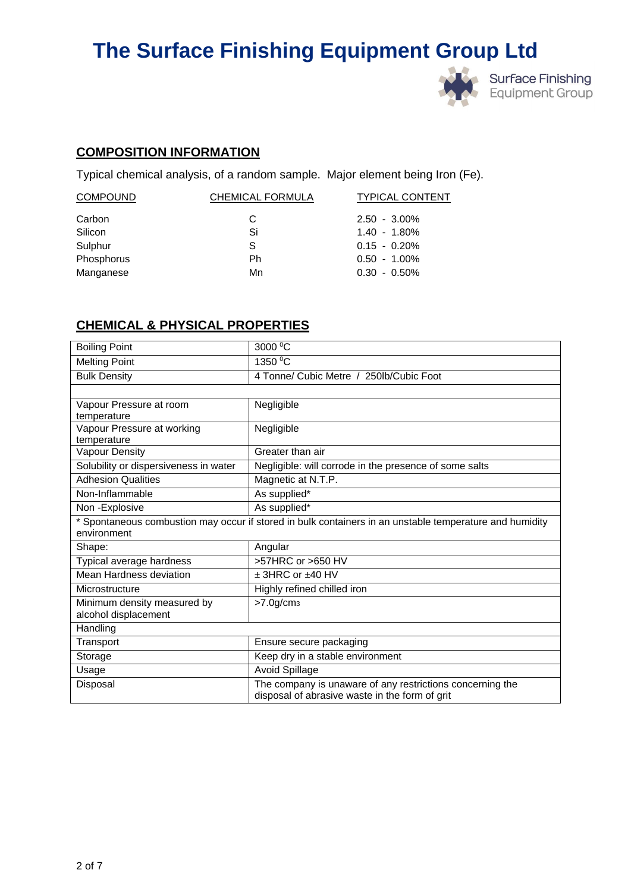

# **COMPOSITION INFORMATION**

Typical chemical analysis, of a random sample. Major element being Iron (Fe).

| CHEMICAL FORMULA | <b>TYPICAL CONTENT</b> |
|------------------|------------------------|
| C                | $2.50 - 3.00\%$        |
| Si               | $1.40 - 1.80\%$        |
| S                | $0.15 - 0.20\%$        |
| Ph               | $0.50 - 1.00\%$        |
| Mn               | $0.30 - 0.50\%$        |
|                  |                        |

# **CHEMICAL & PHYSICAL PROPERTIES**

| <b>Boiling Point</b>                  | 3000 °C                                                                                                     |  |  |  |
|---------------------------------------|-------------------------------------------------------------------------------------------------------------|--|--|--|
| <b>Melting Point</b>                  | 1350 °C                                                                                                     |  |  |  |
| <b>Bulk Density</b>                   | 4 Tonne/ Cubic Metre / 250lb/Cubic Foot                                                                     |  |  |  |
|                                       |                                                                                                             |  |  |  |
| Vapour Pressure at room               | Negligible                                                                                                  |  |  |  |
| temperature                           |                                                                                                             |  |  |  |
| Vapour Pressure at working            | Negligible                                                                                                  |  |  |  |
| temperature                           |                                                                                                             |  |  |  |
| Vapour Density                        | Greater than air                                                                                            |  |  |  |
| Solubility or dispersiveness in water | Negligible: will corrode in the presence of some salts                                                      |  |  |  |
| <b>Adhesion Qualities</b>             | Magnetic at N.T.P.                                                                                          |  |  |  |
| Non-Inflammable                       | As supplied*                                                                                                |  |  |  |
| Non-Explosive                         | As supplied*                                                                                                |  |  |  |
|                                       | * Spontaneous combustion may occur if stored in bulk containers in an unstable temperature and humidity     |  |  |  |
| environment                           |                                                                                                             |  |  |  |
| Shape:                                | Angular                                                                                                     |  |  |  |
| Typical average hardness              | >57HRC or >650 HV                                                                                           |  |  |  |
| <b>Mean Hardness deviation</b>        | $±$ 3HRC or $±40$ HV                                                                                        |  |  |  |
| Microstructure                        | Highly refined chilled iron                                                                                 |  |  |  |
|                                       |                                                                                                             |  |  |  |
| Minimum density measured by           | >7.0g/cm <sub>3</sub>                                                                                       |  |  |  |
| alcohol displacement                  |                                                                                                             |  |  |  |
| Handling                              |                                                                                                             |  |  |  |
| Transport                             | Ensure secure packaging                                                                                     |  |  |  |
| Storage                               | Keep dry in a stable environment                                                                            |  |  |  |
| Usage                                 | <b>Avoid Spillage</b>                                                                                       |  |  |  |
| Disposal                              | The company is unaware of any restrictions concerning the<br>disposal of abrasive waste in the form of grit |  |  |  |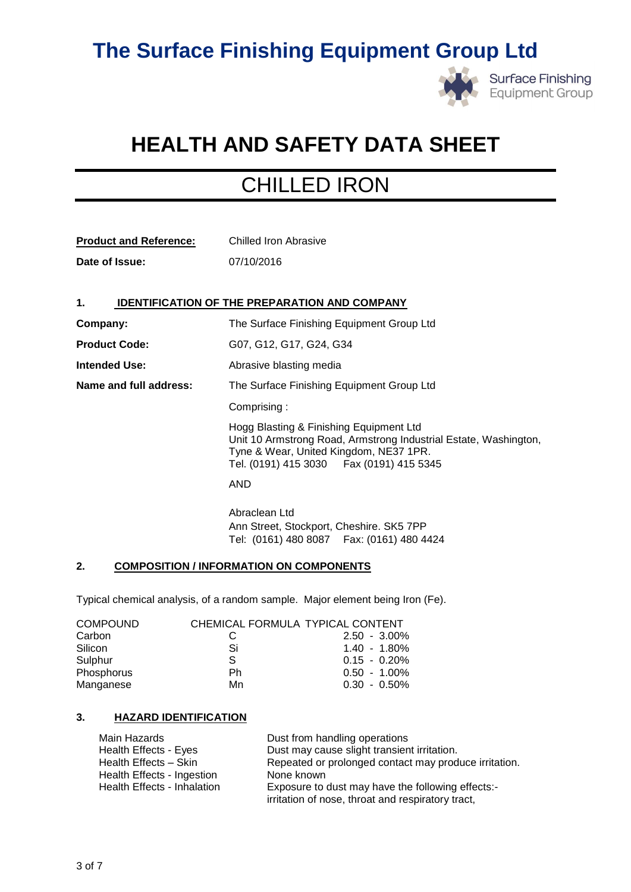

# **HEALTH AND SAFETY DATA SHEET**

# CHILLED IRON

| <b>Product and Reference:</b> | Chilled Iron Abrasive |
|-------------------------------|-----------------------|
| Date of Issue:                | 07/10/2016            |

# **1. IDENTIFICATION OF THE PREPARATION AND COMPANY**

**Company:** The Surface Finishing Equipment Group Ltd **Product Code:** G07, G12, G17, G24, G34 **Intended Use:** Abrasive blasting media **Name and full address:** The Surface Finishing Equipment Group Ltd Comprising : Hogg Blasting & Finishing Equipment Ltd Unit 10 Armstrong Road, Armstrong Industrial Estate, Washington, Tyne & Wear, United Kingdom, NE37 1PR. Tel. (0191) 415 3030 Fax (0191) 415 5345 AND Abraclean Ltd Ann Street, Stockport, Cheshire. SK5 7PP Tel: (0161) 480 8087 Fax: (0161) 480 4424

## **2. COMPOSITION / INFORMATION ON COMPONENTS**

Typical chemical analysis, of a random sample. Major element being Iron (Fe).

| <b>COMPOUND</b> | CHEMICAL FORMULA TYPICAL CONTENT |                 |
|-----------------|----------------------------------|-----------------|
| Carbon          |                                  | $2.50 - 3.00\%$ |
| Silicon         | Si                               | $1.40 - 1.80\%$ |
| Sulphur         | S.                               | $0.15 - 0.20\%$ |
| Phosphorus      | Ph                               | $0.50 - 1.00\%$ |
| Manganese       | Mn                               | $0.30 - 0.50\%$ |

### **3. HAZARD IDENTIFICATION**

| Main Hazards                | Dust from handling operations                         |
|-----------------------------|-------------------------------------------------------|
| Health Effects - Eyes       | Dust may cause slight transient irritation.           |
| Health Effects - Skin       | Repeated or prolonged contact may produce irritation. |
| Health Effects - Ingestion  | None known                                            |
| Health Effects - Inhalation | Exposure to dust may have the following effects:-     |
|                             | irritation of nose, throat and respiratory tract,     |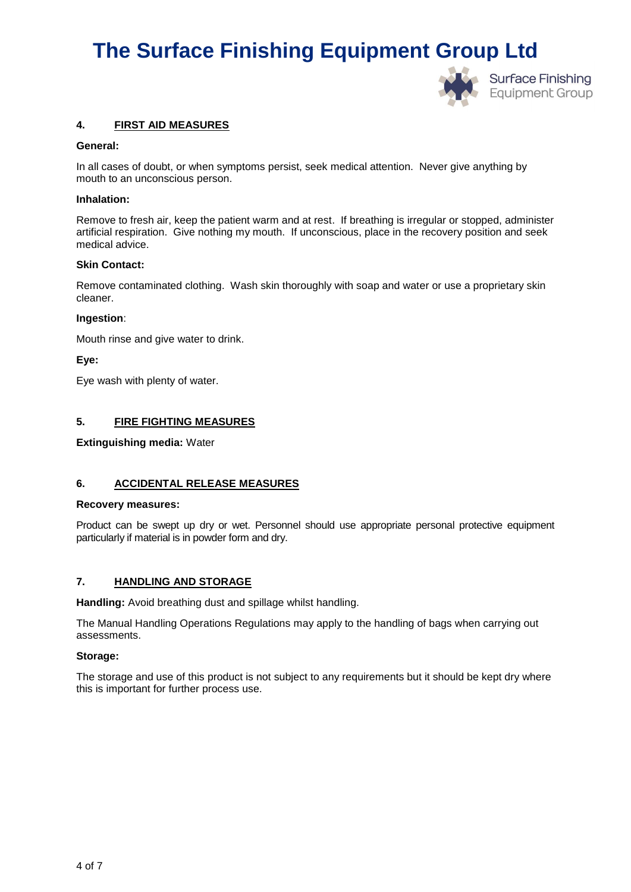

## **4. FIRST AID MEASURES**

#### **General:**

In all cases of doubt, or when symptoms persist, seek medical attention. Never give anything by mouth to an unconscious person.

#### **Inhalation:**

Remove to fresh air, keep the patient warm and at rest. If breathing is irregular or stopped, administer artificial respiration. Give nothing my mouth. If unconscious, place in the recovery position and seek medical advice.

#### **Skin Contact:**

Remove contaminated clothing. Wash skin thoroughly with soap and water or use a proprietary skin cleaner.

#### **Ingestion**:

Mouth rinse and give water to drink.

**Eye:**

Eye wash with plenty of water.

### **5. FIRE FIGHTING MEASURES**

**Extinguishing media:** Water

### **6. ACCIDENTAL RELEASE MEASURES**

#### **Recovery measures:**

Product can be swept up dry or wet. Personnel should use appropriate personal protective equipment particularly if material is in powder form and dry.

### **7. HANDLING AND STORAGE**

**Handling:** Avoid breathing dust and spillage whilst handling.

The Manual Handling Operations Regulations may apply to the handling of bags when carrying out assessments.

#### **Storage:**

The storage and use of this product is not subject to any requirements but it should be kept dry where this is important for further process use.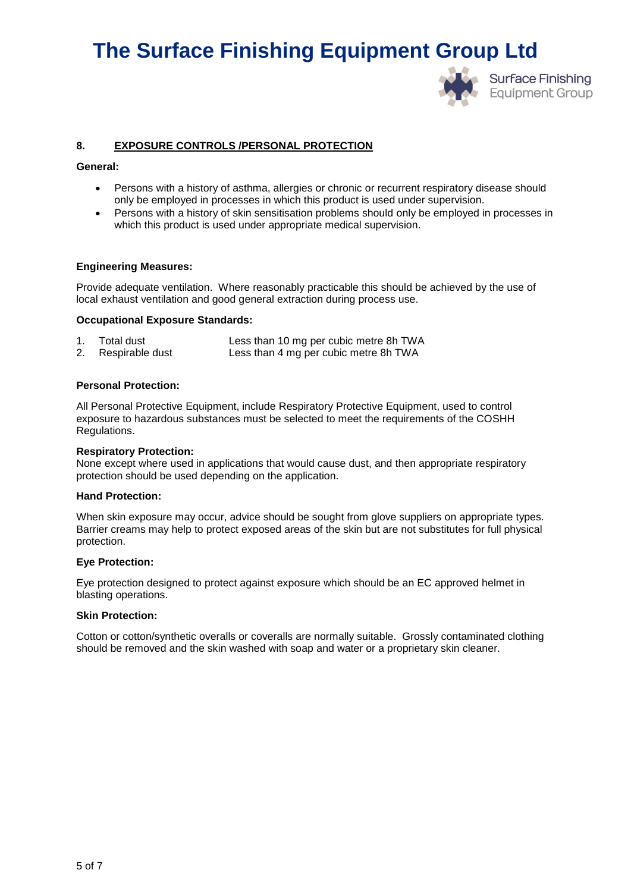

# **8. EXPOSURE CONTROLS /PERSONAL PROTECTION**

#### **General:**

- Persons with a history of asthma, allergies or chronic or recurrent respiratory disease should only be employed in processes in which this product is used under supervision.
- Persons with a history of skin sensitisation problems should only be employed in processes in which this product is used under appropriate medical supervision.

### **Engineering Measures:**

Provide adequate ventilation. Where reasonably practicable this should be achieved by the use of local exhaust ventilation and good general extraction during process use.

## **Occupational Exposure Standards:**

| Total dust         | Less than 10 mg per cubic metre 8h TWA |
|--------------------|----------------------------------------|
| 2. Respirable dust | Less than 4 mg per cubic metre 8h TWA  |

#### **Personal Protection:**

All Personal Protective Equipment, include Respiratory Protective Equipment, used to control exposure to hazardous substances must be selected to meet the requirements of the COSHH Regulations.

#### **Respiratory Protection:**

None except where used in applications that would cause dust, and then appropriate respiratory protection should be used depending on the application.

#### **Hand Protection:**

When skin exposure may occur, advice should be sought from glove suppliers on appropriate types. Barrier creams may help to protect exposed areas of the skin but are not substitutes for full physical protection.

#### **Eye Protection:**

Eye protection designed to protect against exposure which should be an EC approved helmet in blasting operations.

### **Skin Protection:**

Cotton or cotton/synthetic overalls or coveralls are normally suitable. Grossly contaminated clothing should be removed and the skin washed with soap and water or a proprietary skin cleaner.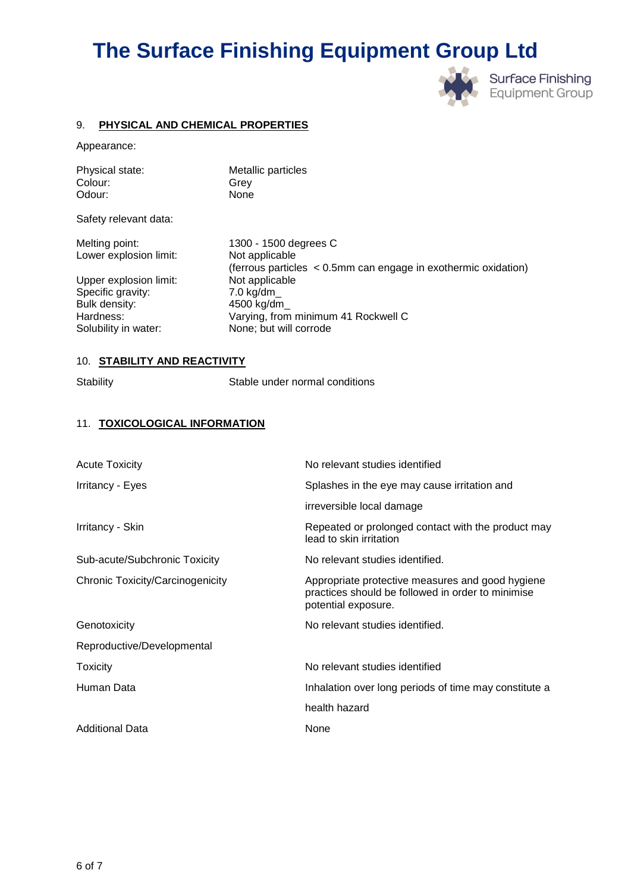

## 9. **PHYSICAL AND CHEMICAL PROPERTIES**

Appearance:

| Physical state: | Metallic particles |
|-----------------|--------------------|
| Colour:         | Grev               |
| Odour:          | None               |
|                 |                    |

Safety relevant data:

Lower explosion limit: Not applicable

Upper explosion limit: Not applicable Specific gravity: 7.0 kg/dm\_ Bulk density: 4500 kg/dm\_ Solubility in water: None; but will corrode

Melting point: 1300 - 1500 degrees C (ferrous particles < 0.5mm can engage in exothermic oxidation) Hardness: Varying, from minimum 41 Rockwell C

## 10. **STABILITY AND REACTIVITY**

Stability Stable under normal conditions

### 11. **TOXICOLOGICAL INFORMATION**

| No relevant studies identified                                                                                               |
|------------------------------------------------------------------------------------------------------------------------------|
| Splashes in the eye may cause irritation and                                                                                 |
| irreversible local damage                                                                                                    |
| Repeated or prolonged contact with the product may<br>lead to skin irritation                                                |
| No relevant studies identified.                                                                                              |
| Appropriate protective measures and good hygiene<br>practices should be followed in order to minimise<br>potential exposure. |
| No relevant studies identified.                                                                                              |
|                                                                                                                              |
| No relevant studies identified                                                                                               |
| Inhalation over long periods of time may constitute a                                                                        |
| health hazard                                                                                                                |
| None                                                                                                                         |
|                                                                                                                              |